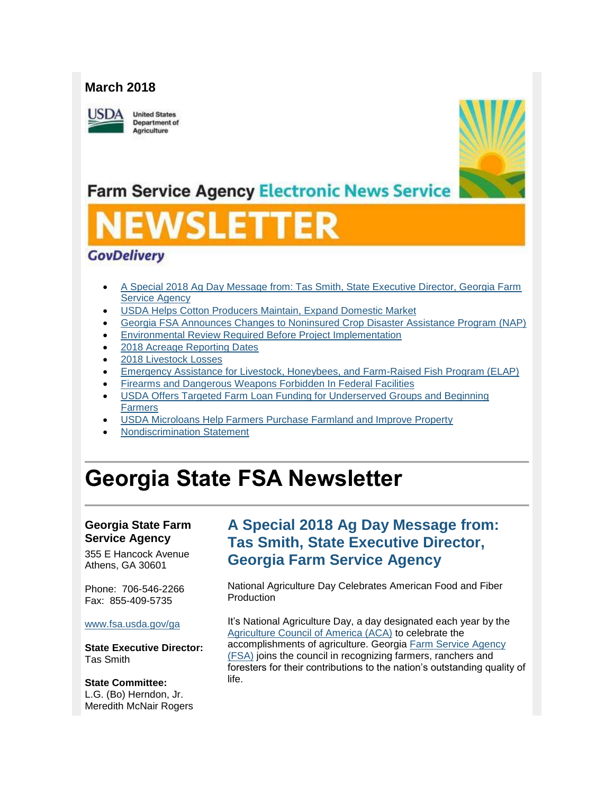#### **March 2018**

USDA

**United States** Department of Agriculture



# **Farm Service Agency Electronic News Service**

# VSLETTI

#### **GovDelivery**

- [A Special 2018 Ag Day Message from: Tas Smith, State Executive Director, Georgia Farm](#page-0-0)  **[Service Agency](#page-0-0)**
- [USDA Helps Cotton Producers Maintain, Expand Domestic Market](#page-1-0)
- [Georgia FSA Announces Changes to Noninsured Crop Disaster Assistance Program \(NAP\)](#page-2-0)
- [Environmental Review Required Before Project Implementation](#page-3-0)
- [2018 Acreage Reporting Dates](#page-3-1)
- [2018 Livestock Losses](#page-4-0)
- [Emergency Assistance for Livestock, Honeybees, and Farm-Raised Fish Program \(ELAP\)](#page-5-0)
- [Firearms and Dangerous Weapons Forbidden In Federal Facilities](#page-5-1)
- [USDA Offers Targeted Farm Loan Funding for Underserved Groups and Beginning](#page-6-0)  [Farmers](#page-6-0)
- [USDA Microloans Help Farmers Purchase Farmland and Improve Property](#page-7-0)
- [Nondiscrimination Statement](#page-7-1)

# **Georgia State FSA Newsletter**

#### **Georgia State Farm Service Agency**

355 E Hancock Avenue Athens, GA 30601

Phone: 706-546-2266 Fax: 855-409-5735

#### [www.fsa.usda.gov/ga](http://www.fsa.usda.gov/ga)

**State Executive Director:** Tas Smith

#### **State Committee:** L.G. (Bo) Herndon, Jr. Meredith McNair Rogers

### <span id="page-0-0"></span>**A Special 2018 Ag Day Message from: Tas Smith, State Executive Director, Georgia Farm Service Agency**

National Agriculture Day Celebrates American Food and Fiber Production

It's National Agriculture Day, a day designated each year by the [Agriculture Council of America \(ACA\)](https://www.agday.org/) to celebrate the accomplishments of agriculture. Georgia [Farm Service Agency](https://www.fsa.usda.gov/index)  [\(FSA\)](https://www.fsa.usda.gov/index) joins the council in recognizing farmers, ranchers and foresters for their contributions to the nation's outstanding quality of life.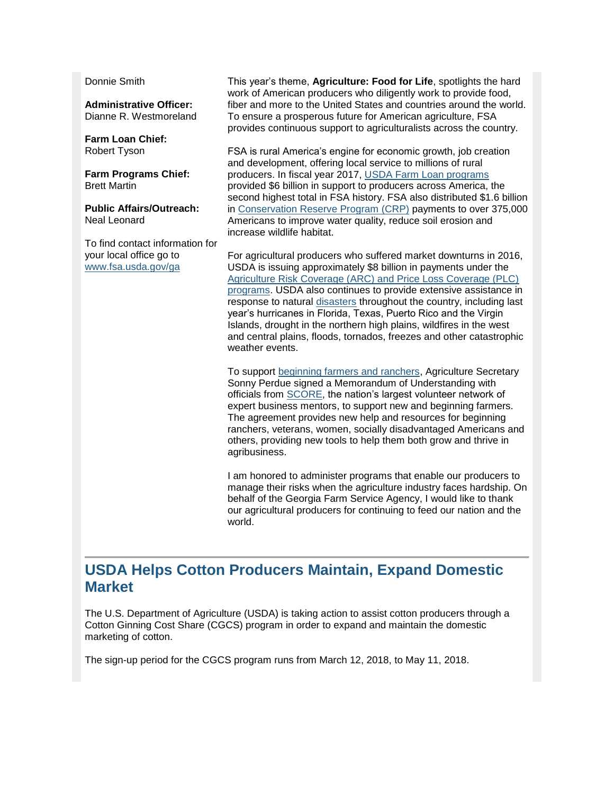Donnie Smith

**Administrative Officer:** Dianne R. Westmoreland

**Farm Loan Chief:** Robert Tyson

**Farm Programs Chief:** Brett Martin

**Public Affairs/Outreach:** Neal Leonard

To find contact information for your local office go to [www.fsa.usda.gov/ga](http://www.fsa.usda.gov/ga)

This year's theme, **Agriculture: Food for Life**, spotlights the hard work of American producers who diligently work to provide food, fiber and more to the United States and countries around the world. To ensure a prosperous future for American agriculture, FSA provides continuous support to agriculturalists across the country.

FSA is rural America's engine for economic growth, job creation and development, offering local service to millions of rural producers. In fiscal year 2017, [USDA Farm Loan programs](https://www.fsa.usda.gov/programs-and-services/farm-loan-programs/index) provided \$6 billion in support to producers across America, the second highest total in FSA history. FSA also distributed \$1.6 billion in [Conservation Reserve Program \(CRP\)](https://www.fsa.usda.gov/programs-and-services/conservation-programs/conservation-reserve-program/index) payments to over 375,000 Americans to improve water quality, reduce soil erosion and increase wildlife habitat.

For agricultural producers who suffered market downturns in 2016, USDA is issuing approximately \$8 billion in payments under the [Agriculture Risk Coverage \(ARC\) and Price Loss Coverage \(PLC\)](https://www.fsa.usda.gov/programs-and-services/arcplc_program/index)  [programs.](https://www.fsa.usda.gov/programs-and-services/arcplc_program/index) USDA also continues to provide extensive assistance in response to natural [disasters](https://www.usda.gov/topics/disaster) throughout the country, including last year's hurricanes in Florida, Texas, Puerto Rico and the Virgin Islands, drought in the northern high plains, wildfires in the west and central plains, floods, tornados, freezes and other catastrophic weather events.

To support [beginning farmers and ranchers,](https://newfarmers.usda.gov/) Agriculture Secretary Sonny Perdue signed a Memorandum of Understanding with officials from [SCORE,](https://www.score.org/usda) the nation's largest volunteer network of expert business mentors, to support new and beginning farmers. The agreement provides new help and resources for beginning ranchers, veterans, women, socially disadvantaged Americans and others, providing new tools to help them both grow and thrive in agribusiness.

I am honored to administer programs that enable our producers to manage their risks when the agriculture industry faces hardship. On behalf of the Georgia Farm Service Agency, I would like to thank our agricultural producers for continuing to feed our nation and the world.

#### <span id="page-1-0"></span>**USDA Helps Cotton Producers Maintain, Expand Domestic Market**

The U.S. Department of Agriculture (USDA) is taking action to assist cotton producers through a Cotton Ginning Cost Share (CGCS) program in order to expand and maintain the domestic marketing of cotton.

The sign-up period for the CGCS program runs from March 12, 2018, to May 11, 2018.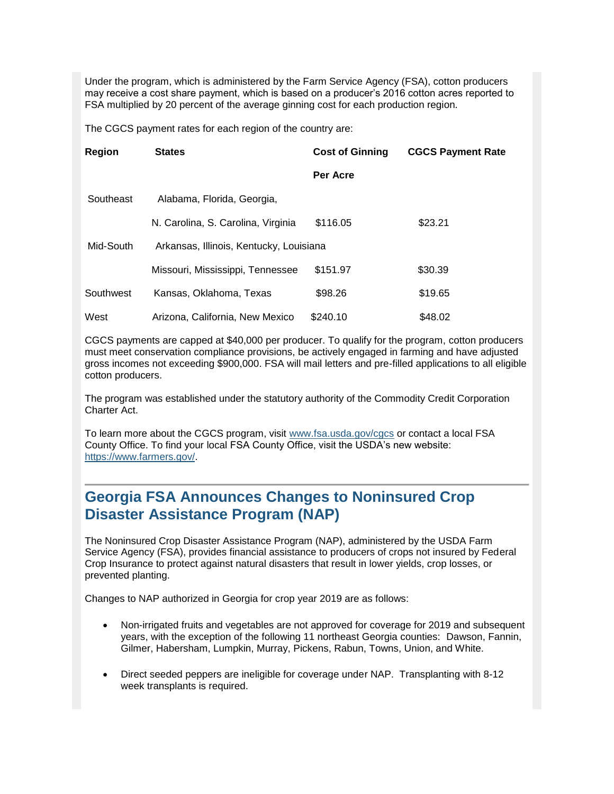Under the program, which is administered by the Farm Service Agency (FSA), cotton producers may receive a cost share payment, which is based on a producer's 2016 cotton acres reported to FSA multiplied by 20 percent of the average ginning cost for each production region.

The CGCS payment rates for each region of the country are:

| <b>Region</b>                                        | <b>States</b>                      | <b>Cost of Ginning</b> | <b>CGCS Payment Rate</b> |
|------------------------------------------------------|------------------------------------|------------------------|--------------------------|
|                                                      |                                    | Per Acre               |                          |
| Southeast                                            | Alabama, Florida, Georgia,         |                        |                          |
|                                                      | N. Carolina, S. Carolina, Virginia | \$116.05               | \$23.21                  |
| Mid-South<br>Arkansas, Illinois, Kentucky, Louisiana |                                    |                        |                          |
|                                                      | Missouri, Mississippi, Tennessee   | \$151.97               | \$30.39                  |
| Southwest                                            | Kansas, Oklahoma, Texas            | \$98.26                | \$19.65                  |
| West                                                 | Arizona, California, New Mexico    | \$240.10               | \$48.02                  |

CGCS payments are capped at \$40,000 per producer. To qualify for the program, cotton producers must meet conservation compliance provisions, be actively engaged in farming and have adjusted gross incomes not exceeding \$900,000. FSA will mail letters and pre-filled applications to all eligible cotton producers.

The program was established under the statutory authority of the Commodity Credit Corporation Charter Act.

To learn more about the CGCS program, visit [www.fsa.usda.gov/cgcs](http://www.fsa.usda.gov/cgcs) or contact a local FSA County Office. To find your local FSA County Office, visit the USDA's new website: [https://www.farmers.gov/.](https://www.farmers.gov/)

#### <span id="page-2-0"></span>**Georgia FSA Announces Changes to Noninsured Crop Disaster Assistance Program (NAP)**

The Noninsured Crop Disaster Assistance Program (NAP), administered by the USDA Farm Service Agency (FSA), provides financial assistance to producers of crops not insured by Federal Crop Insurance to protect against natural disasters that result in lower yields, crop losses, or prevented planting.

Changes to NAP authorized in Georgia for crop year 2019 are as follows:

- Non-irrigated fruits and vegetables are not approved for coverage for 2019 and subsequent years, with the exception of the following 11 northeast Georgia counties: Dawson, Fannin, Gilmer, Habersham, Lumpkin, Murray, Pickens, Rabun, Towns, Union, and White.
- Direct seeded peppers are ineligible for coverage under NAP. Transplanting with 8-12 week transplants is required.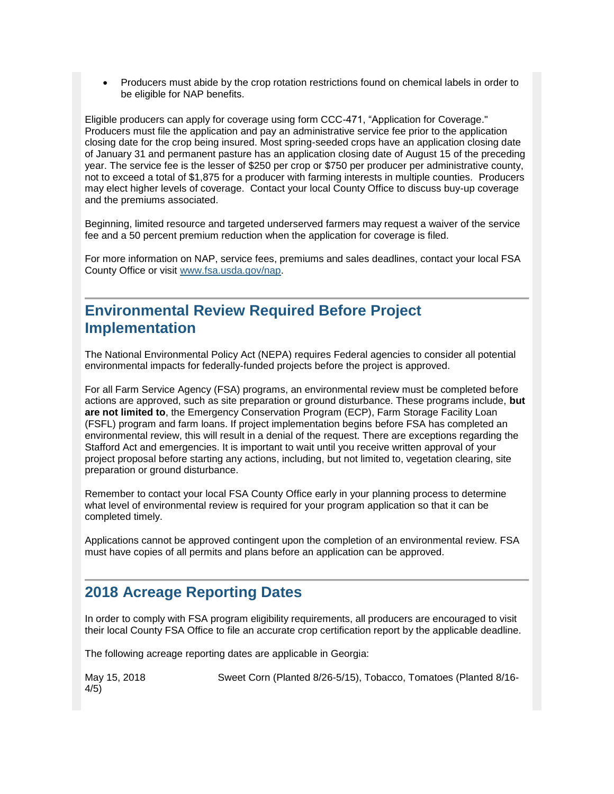Producers must abide by the crop rotation restrictions found on chemical labels in order to be eligible for NAP benefits.

Eligible producers can apply for coverage using form CCC-471, "Application for Coverage." Producers must file the application and pay an administrative service fee prior to the application closing date for the crop being insured. Most spring-seeded crops have an application closing date of January 31 and permanent pasture has an application closing date of August 15 of the preceding year. The service fee is the lesser of \$250 per crop or \$750 per producer per administrative county, not to exceed a total of \$1,875 for a producer with farming interests in multiple counties. Producers may elect higher levels of coverage. Contact your local County Office to discuss buy-up coverage and the premiums associated.

Beginning, limited resource and targeted underserved farmers may request a waiver of the service fee and a 50 percent premium reduction when the application for coverage is filed.

For more information on NAP, service fees, premiums and sales deadlines, contact your local FSA County Office or visit [www.fsa.usda.gov/nap.](http://www.fsa.usda.gov/nap)

#### <span id="page-3-0"></span>**Environmental Review Required Before Project Implementation**

The National Environmental Policy Act (NEPA) requires Federal agencies to consider all potential environmental impacts for federally-funded projects before the project is approved.

For all Farm Service Agency (FSA) programs, an environmental review must be completed before actions are approved, such as site preparation or ground disturbance. These programs include, **but are not limited to**, the Emergency Conservation Program (ECP), Farm Storage Facility Loan (FSFL) program and farm loans. If project implementation begins before FSA has completed an environmental review, this will result in a denial of the request. There are exceptions regarding the Stafford Act and emergencies. It is important to wait until you receive written approval of your project proposal before starting any actions, including, but not limited to, vegetation clearing, site preparation or ground disturbance.

Remember to contact your local FSA County Office early in your planning process to determine what level of environmental review is required for your program application so that it can be completed timely.

Applications cannot be approved contingent upon the completion of an environmental review. FSA must have copies of all permits and plans before an application can be approved.

#### <span id="page-3-1"></span>**2018 Acreage Reporting Dates**

In order to comply with FSA program eligibility requirements, all producers are encouraged to visit their local County FSA Office to file an accurate crop certification report by the applicable deadline.

The following acreage reporting dates are applicable in Georgia:

| May 15, 2018 | Sweet Corn (Planted 8/26-5/15), Tobacco, Tomatoes (Planted 8/16- |  |
|--------------|------------------------------------------------------------------|--|
| 4/5)         |                                                                  |  |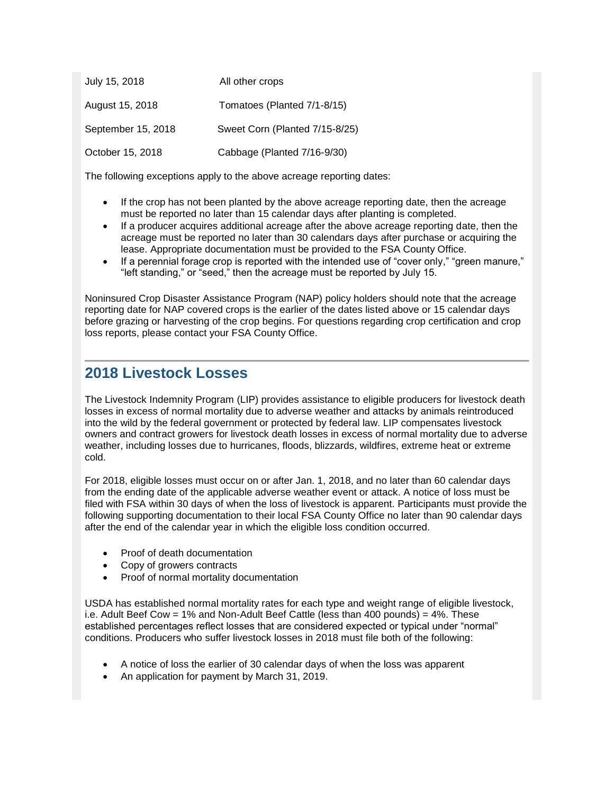| July 15, 2018      | All other crops                |
|--------------------|--------------------------------|
| August 15, 2018    | Tomatoes (Planted 7/1-8/15)    |
| September 15, 2018 | Sweet Corn (Planted 7/15-8/25) |
| October 15, 2018   | Cabbage (Planted 7/16-9/30)    |

The following exceptions apply to the above acreage reporting dates:

- If the crop has not been planted by the above acreage reporting date, then the acreage must be reported no later than 15 calendar days after planting is completed.
- If a producer acquires additional acreage after the above acreage reporting date, then the acreage must be reported no later than 30 calendars days after purchase or acquiring the lease. Appropriate documentation must be provided to the FSA County Office.
- If a perennial forage crop is reported with the intended use of "cover only," "green manure," "left standing," or "seed," then the acreage must be reported by July 15.

Noninsured Crop Disaster Assistance Program (NAP) policy holders should note that the acreage reporting date for NAP covered crops is the earlier of the dates listed above or 15 calendar days before grazing or harvesting of the crop begins. For questions regarding crop certification and crop loss reports, please contact your FSA County Office.

#### <span id="page-4-0"></span>**2018 Livestock Losses**

The Livestock Indemnity Program (LIP) provides assistance to eligible producers for livestock death losses in excess of normal mortality due to adverse weather and attacks by animals reintroduced into the wild by the federal government or protected by federal law. LIP compensates livestock owners and contract growers for livestock death losses in excess of normal mortality due to adverse weather, including losses due to hurricanes, floods, blizzards, wildfires, extreme heat or extreme cold.

For 2018, eligible losses must occur on or after Jan. 1, 2018, and no later than 60 calendar days from the ending date of the applicable adverse weather event or attack. A notice of loss must be filed with FSA within 30 days of when the loss of livestock is apparent. Participants must provide the following supporting documentation to their local FSA County Office no later than 90 calendar days after the end of the calendar year in which the eligible loss condition occurred.

- Proof of death documentation
- Copy of growers contracts
- Proof of normal mortality documentation

USDA has established normal mortality rates for each type and weight range of eligible livestock, i.e. Adult Beef Cow =  $1\%$  and Non-Adult Beef Cattle (less than 400 pounds) =  $4\%$ . These established percentages reflect losses that are considered expected or typical under "normal" conditions. Producers who suffer livestock losses in 2018 must file both of the following:

- A notice of loss the earlier of 30 calendar days of when the loss was apparent
- An application for payment by March 31, 2019.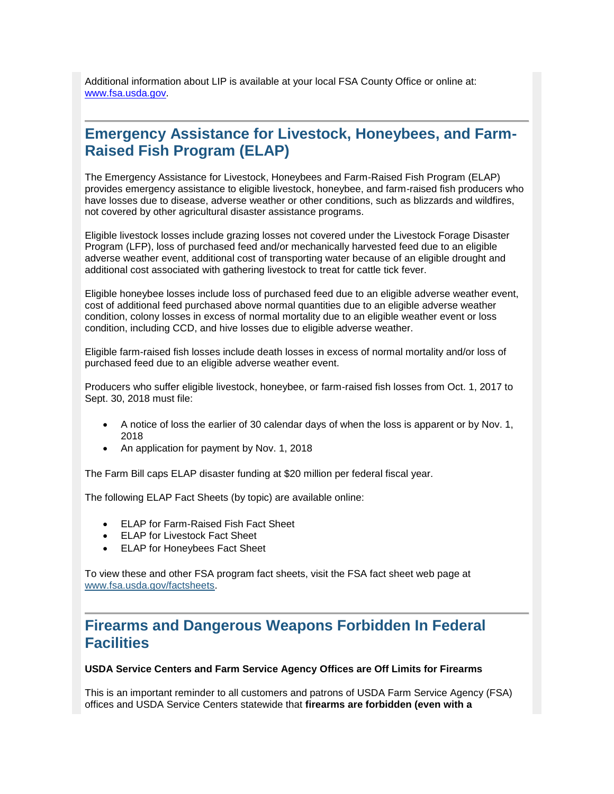Additional information about LIP is available at your local FSA County Office or online at: [www.fsa.usda.gov.](http://www.fsa.usda.gov/)

#### <span id="page-5-0"></span>**Emergency Assistance for Livestock, Honeybees, and Farm-Raised Fish Program (ELAP)**

The Emergency Assistance for Livestock, Honeybees and Farm-Raised Fish Program (ELAP) provides emergency assistance to eligible livestock, honeybee, and farm-raised fish producers who have losses due to disease, adverse weather or other conditions, such as blizzards and wildfires, not covered by other agricultural disaster assistance programs.

Eligible livestock losses include grazing losses not covered under the Livestock Forage Disaster Program (LFP), loss of purchased feed and/or mechanically harvested feed due to an eligible adverse weather event, additional cost of transporting water because of an eligible drought and additional cost associated with gathering livestock to treat for cattle tick fever.

Eligible honeybee losses include loss of purchased feed due to an eligible adverse weather event, cost of additional feed purchased above normal quantities due to an eligible adverse weather condition, colony losses in excess of normal mortality due to an eligible weather event or loss condition, including CCD, and hive losses due to eligible adverse weather.

Eligible farm-raised fish losses include death losses in excess of normal mortality and/or loss of purchased feed due to an eligible adverse weather event.

Producers who suffer eligible livestock, honeybee, or farm-raised fish losses from Oct. 1, 2017 to Sept. 30, 2018 must file:

- A notice of loss the earlier of 30 calendar days of when the loss is apparent or by Nov. 1, 2018
- An application for payment by Nov. 1, 2018

The Farm Bill caps ELAP disaster funding at \$20 million per federal fiscal year.

The following ELAP Fact Sheets (by topic) are available online:

- ELAP for Farm-Raised Fish Fact Sheet
- ELAP for Livestock Fact Sheet
- ELAP for Honeybees Fact Sheet

To view these and other FSA program fact sheets, visit the FSA fact sheet web page at [www.fsa.usda.gov/factsheets.](http://www.fsa.usda.gov/factsheets)

#### <span id="page-5-1"></span>**Firearms and Dangerous Weapons Forbidden In Federal Facilities**

#### **USDA Service Centers and Farm Service Agency Offices are Off Limits for Firearms**

This is an important reminder to all customers and patrons of USDA Farm Service Agency (FSA) offices and USDA Service Centers statewide that **firearms are forbidden (even with a**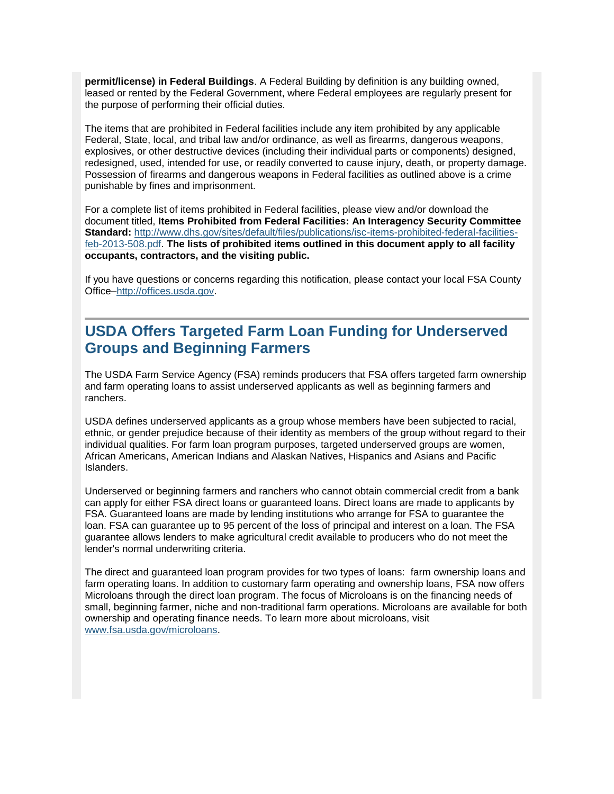**permit/license) in Federal Buildings**. A Federal Building by definition is any building owned, leased or rented by the Federal Government, where Federal employees are regularly present for the purpose of performing their official duties.

The items that are prohibited in Federal facilities include any item prohibited by any applicable Federal, State, local, and tribal law and/or ordinance, as well as firearms, dangerous weapons, explosives, or other destructive devices (including their individual parts or components) designed, redesigned, used, intended for use, or readily converted to cause injury, death, or property damage. Possession of firearms and dangerous weapons in Federal facilities as outlined above is a crime punishable by fines and imprisonment.

For a complete list of items prohibited in Federal facilities, please view and/or download the document titled, **Items Prohibited from Federal Facilities: An Interagency Security Committee Standard:** [http://www.dhs.gov/sites/default/files/publications/isc-items-prohibited-federal-facilities](http://links.govdelivery.com/track?type=click&enid=ZWFzPTEmbXNpZD0mYXVpZD0mbWFpbGluZ2lkPTIwMTcwMTIwLjY4OTk3NjExJm1lc3NhZ2VpZD1NREItUFJELUJVTC0yMDE3MDEyMC42ODk5NzYxMSZkYXRhYmFzZWlkPTEwMDEmc2VyaWFsPTE2ODE3NTk4JmVtYWlsaWQ9Y2Fzc2llLmJhYmxlQHR4LnVzZGEuZ292JnVzZXJpZD1jYXNzaWUuYmFibGVAdHgudXNkYS5nb3YmdGFyZ2V0aWQ9JmZsPSZleHRyYT1NdWx0aXZhcmlhdGVJZD0mJiY=&&&104&&&http://www.dhs.gov/sites/default/files/publications/isc-items-prohibited-federal-facilities-feb-2013-508.pdf)[feb-2013-508.pdf.](http://links.govdelivery.com/track?type=click&enid=ZWFzPTEmbXNpZD0mYXVpZD0mbWFpbGluZ2lkPTIwMTcwMTIwLjY4OTk3NjExJm1lc3NhZ2VpZD1NREItUFJELUJVTC0yMDE3MDEyMC42ODk5NzYxMSZkYXRhYmFzZWlkPTEwMDEmc2VyaWFsPTE2ODE3NTk4JmVtYWlsaWQ9Y2Fzc2llLmJhYmxlQHR4LnVzZGEuZ292JnVzZXJpZD1jYXNzaWUuYmFibGVAdHgudXNkYS5nb3YmdGFyZ2V0aWQ9JmZsPSZleHRyYT1NdWx0aXZhcmlhdGVJZD0mJiY=&&&104&&&http://www.dhs.gov/sites/default/files/publications/isc-items-prohibited-federal-facilities-feb-2013-508.pdf) **The lists of prohibited items outlined in this document apply to all facility occupants, contractors, and the visiting public.**

If you have questions or concerns regarding this notification, please contact your local FSA County Office[–http://offices.usda.gov.](http://links.govdelivery.com/track?type=click&enid=ZWFzPTEmbXNpZD0mYXVpZD0mbWFpbGluZ2lkPTIwMTcwMTIwLjY4OTk3NjExJm1lc3NhZ2VpZD1NREItUFJELUJVTC0yMDE3MDEyMC42ODk5NzYxMSZkYXRhYmFzZWlkPTEwMDEmc2VyaWFsPTE2ODE3NTk4JmVtYWlsaWQ9Y2Fzc2llLmJhYmxlQHR4LnVzZGEuZ292JnVzZXJpZD1jYXNzaWUuYmFibGVAdHgudXNkYS5nb3YmdGFyZ2V0aWQ9JmZsPSZleHRyYT1NdWx0aXZhcmlhdGVJZD0mJiY=&&&105&&&http://offices.usda.gov/)

## <span id="page-6-0"></span>**USDA Offers Targeted Farm Loan Funding for Underserved Groups and Beginning Farmers**

The USDA Farm Service Agency (FSA) reminds producers that FSA offers targeted farm ownership and farm operating loans to assist underserved applicants as well as beginning farmers and ranchers.

USDA defines underserved applicants as a group whose members have been subjected to racial, ethnic, or gender prejudice because of their identity as members of the group without regard to their individual qualities. For farm loan program purposes, targeted underserved groups are women, African Americans, American Indians and Alaskan Natives, Hispanics and Asians and Pacific Islanders.

Underserved or beginning farmers and ranchers who cannot obtain commercial credit from a bank can apply for either FSA direct loans or guaranteed loans. Direct loans are made to applicants by FSA. Guaranteed loans are made by lending institutions who arrange for FSA to guarantee the loan. FSA can guarantee up to 95 percent of the loss of principal and interest on a loan. The FSA guarantee allows lenders to make agricultural credit available to producers who do not meet the lender's normal underwriting criteria.

The direct and guaranteed loan program provides for two types of loans: farm ownership loans and farm operating loans. In addition to customary farm operating and ownership loans, FSA now offers Microloans through the direct loan program. The focus of Microloans is on the financing needs of small, beginning farmer, niche and non-traditional farm operations. Microloans are available for both ownership and operating finance needs. To learn more about microloans, visit [www.fsa.usda.gov/microloans.](http://www.fsa.usda.gov/microloans)